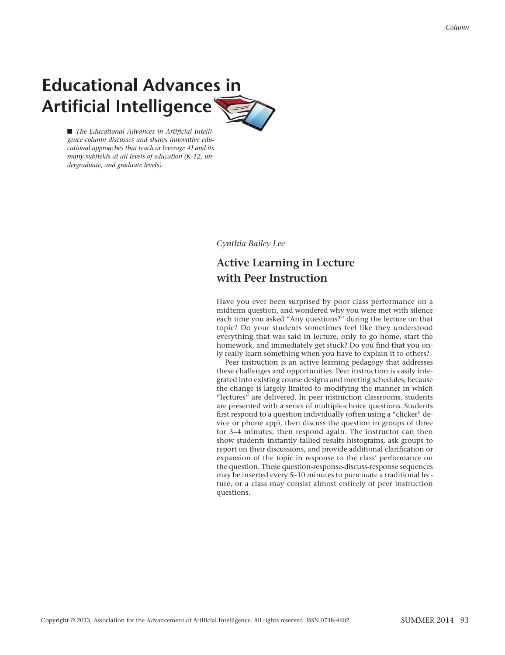## **Educational Advances in** Artificial Intelligence



■ The *Educational Advances in Artificial Intelligence column discusses and shares innovative educational approaches that teach or leverage AI and its many subfields at all levels of education (K-12, undergraduate, and graduate levels).*

*Cynthia Bailey Lee*

## **Active Learning in Lecture with Peer Instruction**

Have you ever been surprised by poor class performance on a midterm question, and wondered why you were met with silence each time you asked "Any questions?" during the lecture on that topic? Do your students sometimes feel like they understood everything that was said in lecture, only to go home, start the homework, and immediately get stuck? Do you find that you only really learn something when you have to explain it to others?

Peer instruction is an active learning pedagogy that addresses these challenges and opportunities. Peer instruction is easily integrated into existing course designs and meeting schedules, because the change is largely limited to modifying the manner in which "lectures" are delivered. In peer instruction classrooms, students are presented with a series of multiple-choice questions. Students first respond to a question individually (often using a "clicker" device or phone app), then discuss the question in groups of three for 3–4 minutes, then respond again. The instructor can then show students instantly tallied results histograms, ask groups to report on their discussions, and provide additional clarification or expansion of the topic in response to the class' performance on the question. These question-response-discuss-response sequences may be inserted every 5–10 minutes to punctuate a traditional lecture, or a class may consist almost entirely of peer instruction questions.